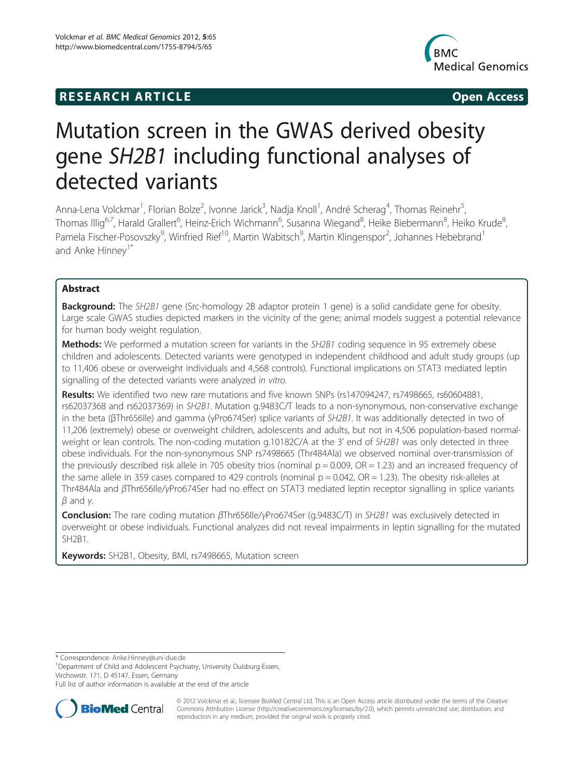# **RESEARCH ARTICLE Example 2014 CONSIDERING CONSIDERING CONSIDERING CONSIDERING CONSIDERING CONSIDERING CONSIDERING CONSIDERING CONSIDERING CONSIDERING CONSIDERING CONSIDERING CONSIDERING CONSIDERING CONSIDERING CONSIDE**



# Mutation screen in the GWAS derived obesity gene SH2B1 including functional analyses of detected variants

Anna-Lena Volckmar<sup>1</sup>, Florian Bolze<sup>2</sup>, Ivonne Jarick<sup>3</sup>, Nadja Knoll<sup>1</sup>, André Scherag<sup>4</sup>, Thomas Reinehr<sup>5</sup> , Thomas Illig<sup>6,7</sup>, Harald Grallert<sup>6</sup>, Heinz-Erich Wichmann<sup>6</sup>, Susanna Wiegand<sup>8</sup>, Heike Biebermann<sup>8</sup>, Heiko Krude<sup>8</sup> , Pamela Fischer-Posovszky<sup>9</sup>, Winfried Rief<sup>10</sup>, Martin Wabitsch<sup>9</sup>, Martin Klingenspor<sup>2</sup>, Johannes Hebebrand<sup>1</sup> and Anke Hinnev<sup>1\*</sup>

# Abstract

**Background:** The SH2B1 gene (Src-homology 2B adaptor protein 1 gene) is a solid candidate gene for obesity. Large scale GWAS studies depicted markers in the vicinity of the gene; animal models suggest a potential relevance for human body weight regulation.

**Methods:** We performed a mutation screen for variants in the SH2B1 coding sequence in 95 extremely obese children and adolescents. Detected variants were genotyped in independent childhood and adult study groups (up to 11,406 obese or overweight individuals and 4,568 controls). Functional implications on STAT3 mediated leptin signalling of the detected variants were analyzed in vitro.

Results: We identified two new rare mutations and five known SNPs (rs147094247, rs7498665, rs60604881, rs62037368 and rs62037369) in SH2B1. Mutation g.9483C/T leads to a non-synonymous, non-conservative exchange in the beta (βThr656Ile) and gamma (γPro674Ser) splice variants of SH2B1. It was additionally detected in two of 11,206 (extremely) obese or overweight children, adolescents and adults, but not in 4,506 population-based normalweight or lean controls. The non-coding mutation g.10182C/A at the 3' end of SH2B1 was only detected in three obese individuals. For the non-synonymous SNP rs7498665 (Thr484Ala) we observed nominal over-transmission of the previously described risk allele in 705 obesity trios (nominal  $p = 0.009$ ,  $OR = 1.23$ ) and an increased frequency of the same allele in 359 cases compared to 429 controls (nominal  $p = 0.042$ ,  $OR = 1.23$ ). The obesity risk-alleles at Thr484Ala and βThr656Ile/γPro674Ser had no effect on STAT3 mediated leptin receptor signalling in splice variants  $β$  and  $γ$ .

Conclusion: The rare coding mutation βThr656Ile/γPro674Ser (g.9483C/T) in SH2B1 was exclusively detected in overweight or obese individuals. Functional analyzes did not reveal impairments in leptin signalling for the mutated SH2B1.

Keywords: SH2B1, Obesity, BMI, rs7498665, Mutation screen

\* Correspondence: [Anke.Hinney@uni-due.de](mailto:Anke.Hinney@uni-due.de) <sup>1</sup>

<sup>1</sup>Department of Child and Adolescent Psychiatry, University Duisburg-Essen, Virchowstr. 171, D 45147, Essen, Germany

Full list of author information is available at the end of the article



© 2012 Volckmar et al.; licensee BioMed Central Ltd. This is an Open Access article distributed under the terms of the Creative Commons Attribution License [\(http://creativecommons.org/licenses/by/2.0\)](http://creativecommons.org/licenses/by/2.0), which permits unrestricted use, distribution, and reproduction in any medium, provided the original work is properly cited.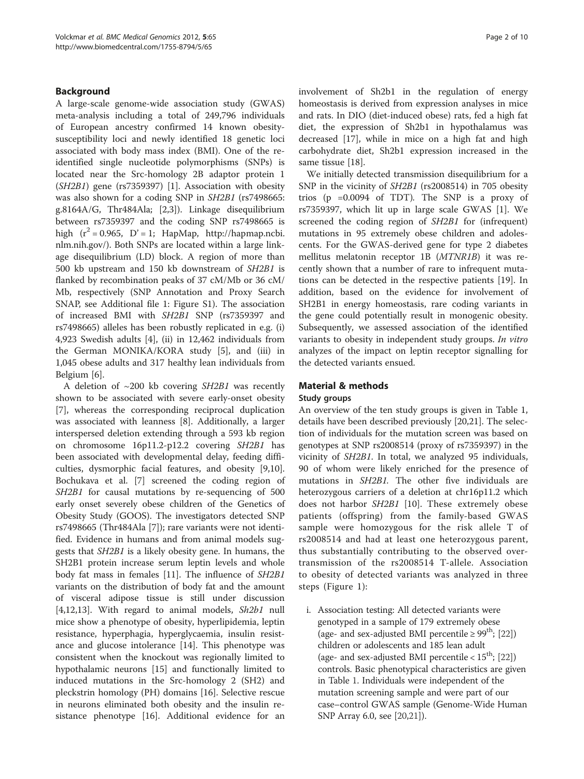# Background

A large-scale genome-wide association study (GWAS) meta-analysis including a total of 249,796 individuals of European ancestry confirmed 14 known obesitysusceptibility loci and newly identified 18 genetic loci associated with body mass index (BMI). One of the reidentified single nucleotide polymorphisms (SNPs) is located near the Src-homology 2B adaptor protein 1 (SH2B1) gene (rs7359397) [[1\]](#page-8-0). Association with obesity was also shown for a coding SNP in SH2B1 (rs7498665: g.8164A/G, Thr484Ala; [[2](#page-8-0),[3\]](#page-8-0)). Linkage disequilibrium between rs7359397 and the coding SNP rs7498665 is high  $(r^2 = 0.965, D' = 1$ ; HapMap, [http://hapmap.ncbi.](http://hapmap.ncbi.nlm.nih.gov/) [nlm.nih.gov/](http://hapmap.ncbi.nlm.nih.gov/)). Both SNPs are located within a large linkage disequilibrium (LD) block. A region of more than 500 kb upstream and 150 kb downstream of SH2B1 is flanked by recombination peaks of 37 cM/Mb or 36 cM/ Mb, respectively (SNP Annotation and Proxy Search SNAP, see Additional file [1](#page-7-0): Figure S1). The association of increased BMI with SH2B1 SNP (rs7359397 and rs7498665) alleles has been robustly replicated in e.g. (i) 4,923 Swedish adults [[4\]](#page-8-0), (ii) in 12,462 individuals from the German MONIKA/KORA study [[5\]](#page-8-0), and (iii) in 1,045 obese adults and 317 healthy lean individuals from Belgium [\[6](#page-8-0)].

A deletion of  $\sim$ 200 kb covering SH2B1 was recently shown to be associated with severe early-onset obesity [[7\]](#page-8-0), whereas the corresponding reciprocal duplication was associated with leanness [[8\]](#page-8-0). Additionally, a larger interspersed deletion extending through a 593 kb region on chromosome 16p11.2-p12.2 covering SH2B1 has been associated with developmental delay, feeding difficulties, dysmorphic facial features, and obesity [\[9,10](#page-8-0)]. Bochukava et al. [\[7\]](#page-8-0) screened the coding region of SH2B1 for causal mutations by re-sequencing of 500 early onset severely obese children of the Genetics of Obesity Study (GOOS). The investigators detected SNP rs7498665 (Thr484Ala [[7\]](#page-8-0)); rare variants were not identified. Evidence in humans and from animal models suggests that SH2B1 is a likely obesity gene. In humans, the SH2B1 protein increase serum leptin levels and whole body fat mass in females [[11](#page-8-0)]. The influence of SH2B1 variants on the distribution of body fat and the amount of visceral adipose tissue is still under discussion [[4,12,13\]](#page-8-0). With regard to animal models,  $Sh2b1$  null mice show a phenotype of obesity, hyperlipidemia, leptin resistance, hyperphagia, hyperglycaemia, insulin resistance and glucose intolerance [[14](#page-8-0)]. This phenotype was consistent when the knockout was regionally limited to hypothalamic neurons [[15\]](#page-8-0) and functionally limited to induced mutations in the Src-homology 2 (SH2) and pleckstrin homology (PH) domains [[16](#page-8-0)]. Selective rescue in neurons eliminated both obesity and the insulin resistance phenotype [\[16\]](#page-8-0). Additional evidence for an

involvement of Sh2b1 in the regulation of energy homeostasis is derived from expression analyses in mice and rats. In DIO (diet-induced obese) rats, fed a high fat diet, the expression of Sh2b1 in hypothalamus was decreased [[17\]](#page-8-0), while in mice on a high fat and high carbohydrate diet, Sh2b1 expression increased in the same tissue [[18](#page-8-0)].

We initially detected transmission disequilibrium for a SNP in the vicinity of SH2B1 (rs2008514) in 705 obesity trios (p =0.0094 of TDT). The SNP is a proxy of rs7359397, which lit up in large scale GWAS [\[1](#page-8-0)]. We screened the coding region of SH2B1 for (infrequent) mutations in 95 extremely obese children and adolescents. For the GWAS-derived gene for type 2 diabetes mellitus melatonin receptor 1B (MTNR1B) it was recently shown that a number of rare to infrequent mutations can be detected in the respective patients [[19\]](#page-8-0). In addition, based on the evidence for involvement of SH2B1 in energy homeostasis, rare coding variants in the gene could potentially result in monogenic obesity. Subsequently, we assessed association of the identified variants to obesity in independent study groups. In vitro analyzes of the impact on leptin receptor signalling for the detected variants ensued.

# Material & methods

# Study groups

An overview of the ten study groups is given in Table [1](#page-2-0), details have been described previously [[20](#page-8-0)[,21](#page-9-0)]. The selection of individuals for the mutation screen was based on genotypes at SNP rs2008514 (proxy of rs7359397) in the vicinity of SH2B1. In total, we analyzed 95 individuals, 90 of whom were likely enriched for the presence of mutations in SH2B1. The other five individuals are heterozygous carriers of a deletion at chr16p11.2 which does not harbor SH2B1 [[10](#page-8-0)]. These extremely obese patients (offspring) from the family-based GWAS sample were homozygous for the risk allele T of rs2008514 and had at least one heterozygous parent, thus substantially contributing to the observed overtransmission of the rs2008514 T-allele. Association to obesity of detected variants was analyzed in three steps (Figure [1](#page-3-0)):

i. Association testing: All detected variants were genotyped in a sample of 179 extremely obese (age- and sex-adjusted BMI percentile  $\geq 99^{th}$ ; [\[22\]](#page-9-0)) children or adolescents and 185 lean adult (age- and sex-adjusted BMI percentile  $< 15<sup>th</sup>$ ; [[22](#page-9-0)]) controls. Basic phenotypical characteristics are given in Table [1](#page-2-0). Individuals were independent of the mutation screening sample and were part of our case–control GWAS sample (Genome-Wide Human SNP Array 6.0, see [\[20](#page-8-0)[,21\]](#page-9-0)).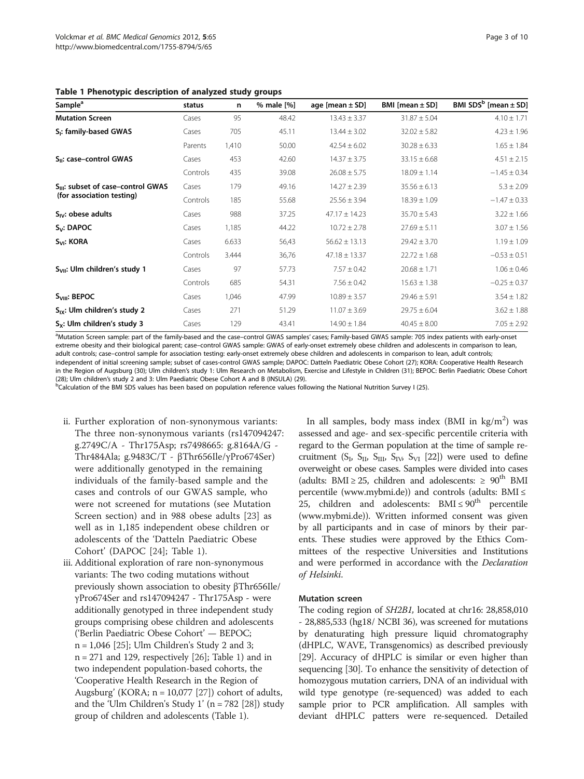<span id="page-2-0"></span>

|  |  |  |  | Table 1 Phenotypic description of analyzed study groups |
|--|--|--|--|---------------------------------------------------------|
|--|--|--|--|---------------------------------------------------------|

| Sample <sup>a</sup>                       | status   | n     | % male [%] | age [mean $\pm$ SD] | BMI [mean $\pm$ SD] | BMI $SDSb$ [mean $\pm$ SD] |
|-------------------------------------------|----------|-------|------------|---------------------|---------------------|----------------------------|
| <b>Mutation Screen</b>                    | Cases    | 95    | 48.42      | $13.43 \pm 3.37$    | $31.87 \pm 5.04$    | $4.10 \pm 1.71$            |
| S <sub>i</sub> : family-based GWAS        | Cases    | 705   | 45.11      | $13.44 \pm 3.02$    | $32.02 \pm 5.82$    | $4.23 \pm 1.96$            |
|                                           | Parents  | 1,410 | 50.00      | $42.54 \pm 6.02$    | $30.28 \pm 6.33$    | $1.65 \pm 1.84$            |
| S <sub>II</sub> : case-control GWAS       | Cases    | 453   | 42.60      | $14.37 \pm 3.75$    | $33.15 \pm 6.68$    | $4.51 \pm 2.15$            |
|                                           | Controls | 435   | 39.08      | $26.08 \pm 5.75$    | $18.09 \pm 1.14$    | $-1.45 \pm 0.34$           |
| $S_{III}$ : subset of case-control GWAS   | Cases    | 179   | 49.16      | $14.27 \pm 2.39$    | $35.56 \pm 6.13$    | $5.3 \pm 2.09$             |
| (for association testing)                 | Controls | 185   | 55.68      | $25.56 \pm 3.94$    | $18.39 \pm 1.09$    | $-1.47 \pm 0.33$           |
| $S_{IV}$ : obese adults                   | Cases    | 988   | 37.25      | $47.17 \pm 14.23$   | $35.70 \pm 5.43$    | $3.22 \pm 1.66$            |
| $S_v$ : DAPOC                             | Cases    | 1,185 | 44.22      | $10.72 \pm 2.78$    | $27.69 \pm 5.11$    | $3.07 \pm 1.56$            |
| S <sub>VI</sub> : KORA                    | Cases    | 6.633 | 56,43      | $56.62 \pm 13.13$   | $29.42 \pm 3.70$    | $1.19 \pm 1.09$            |
|                                           | Controls | 3.444 | 36,76      | $47.18 \pm 13.37$   | $22.72 \pm 1.68$    | $-0.53 \pm 0.51$           |
| S <sub>VII</sub> : Ulm children's study 1 | Cases    | 97    | 57.73      | $7.57 \pm 0.42$     | $20.68 \pm 1.71$    | $1.06 \pm 0.46$            |
|                                           | Controls | 685   | 54.31      | $7.56 \pm 0.42$     | $15.63 \pm 1.38$    | $-0.25 \pm 0.37$           |
| S <sub>VIII</sub> : BEPOC                 | Cases    | 1,046 | 47.99      | $10.89 \pm 3.57$    | $29.46 \pm 5.91$    | $3.54 \pm 1.82$            |
| $S_{IX}$ : Ulm children's study 2         | Cases    | 271   | 51.29      | $11.07 \pm 3.69$    | $29.75 \pm 6.04$    | $3.62 \pm 1.88$            |
| S <sub>x</sub> : Ulm children's study 3   | Cases    | 129   | 43.41      | $14.90 \pm 1.84$    | $40.45 \pm 8.00$    | $7.05 \pm 2.92$            |

<sup>a</sup>Mutation Screen sample: part of the family-based and the case–control GWAS samples' cases; Family-based GWAS sample: 705 index patients with early-onset extreme obesity and their biological parent; case–control GWAS sample: GWAS of early-onset extremely obese children and adolescents in comparison to lean, adult controls; case–control sample for association testing: early-onset extremely obese children and adolescents in comparison to lean, adult controls; independent of initial screening sample; subset of cases-control GWAS sample; DAPOC: Datteln Paediatric Obese Cohort (27); KORA: Cooperative Health Research in the Region of Augsburg (30); Ulm children's study 1: Ulm Research on Metabolism, Exercise and Lifestyle in Children (31); BEPOC: Berlin Paediatric Obese Cohort (28); Ulm children's study 2 and 3: Ulm Paediatric Obese Cohort A and B (INSULA) (29)

<sup>b</sup>Calculation of the BMI SDS values has been based on population reference values following the National Nutrition Survey I (25).

- ii. Further exploration of non-synonymous variants: The three non-synonymous variants (rs147094247: g.2749C/A - Thr175Asp; rs7498665: g.8164A/G - Thr484Ala; g.9483C/T - βThr656Ile/γPro674Ser) were additionally genotyped in the remaining individuals of the family-based sample and the cases and controls of our GWAS sample, who were not screened for mutations (see Mutation Screen section) and in 988 obese adults [[23\]](#page-9-0) as well as in 1,185 independent obese children or adolescents of the 'Datteln Paediatric Obese Cohort' (DAPOC [[24\]](#page-9-0); Table 1).
- iii. Additional exploration of rare non-synonymous variants: The two coding mutations without previously shown association to obesity βThr656Ile/ γPro674Ser and rs147094247 - Thr175Asp - were additionally genotyped in three independent study groups comprising obese children and adolescents ('Berlin Paediatric Obese Cohort' — BEPOC; n = 1,046 [[25](#page-9-0)]; Ulm Children's Study 2 and 3; n = 271 and 129, respectively [[26](#page-9-0)]; Table 1) and in two independent population-based cohorts, the 'Cooperative Health Research in the Region of Augsburg' (KORA;  $n = 10,077$  [[27](#page-9-0)]) cohort of adults, and the 'Ulm Children's Study 1' ( $n = 782$  [[28](#page-9-0)]) study group of children and adolescents (Table 1).

In all samples, body mass index (BMI in  $\text{kg/m}^2$ ) was assessed and age- and sex-specific percentile criteria with regard to the German population at the time of sample re-cruitment (S<sub>I</sub>, S<sub>II</sub>, S<sub>II</sub>, S<sub>IV</sub>, S<sub>VI</sub> [\[22\]](#page-9-0)) were used to define overweight or obese cases. Samples were divided into cases (adults: BMI ≥ 25, children and adolescents: ≥  $90^{th}$  BMI percentile [\(www.mybmi.de\)](http://www.mybmi.de)) and controls (adults: BMI ≤ 25, children and adolescents:  $BMI \leq 90^{th}$  percentile ([www.mybmi.de\)](http://www.mybmi.de)). Written informed consent was given by all participants and in case of minors by their parents. These studies were approved by the Ethics Committees of the respective Universities and Institutions and were performed in accordance with the Declaration of Helsinki.

#### Mutation screen

The coding region of SH2B1, located at chr16: 28,858,010 - 28,885,533 (hg18/ NCBI 36), was screened for mutations by denaturating high pressure liquid chromatography (dHPLC, WAVE, Transgenomics) as described previously [[29](#page-9-0)]. Accuracy of dHPLC is similar or even higher than sequencing [\[30\]](#page-9-0). To enhance the sensitivity of detection of homozygous mutation carriers, DNA of an individual with wild type genotype (re-sequenced) was added to each sample prior to PCR amplification. All samples with deviant dHPLC patters were re-sequenced. Detailed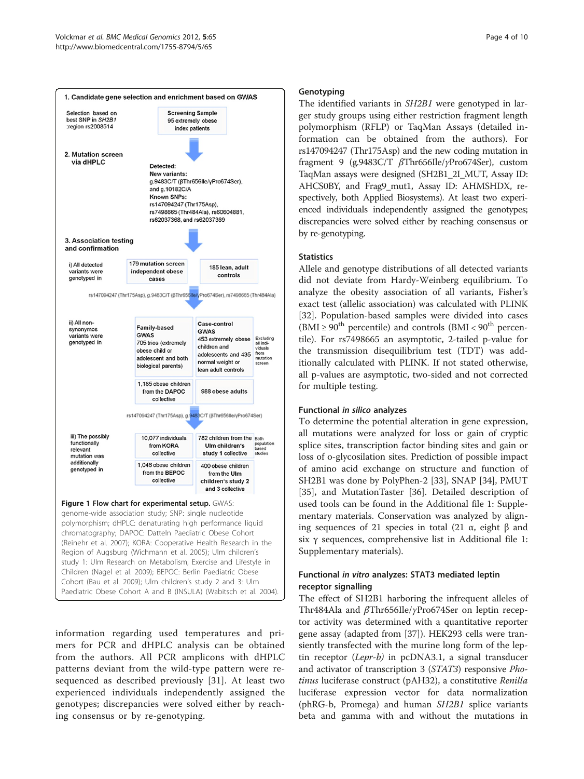<span id="page-3-0"></span>

(Reinehr et al. 2007); KORA: Cooperative Health Research in the Region of Augsburg (Wichmann et al. 2005); Ulm children's study 1: Ulm Research on Metabolism, Exercise and Lifestyle in Children (Nagel et al. 2009); BEPOC: Berlin Paediatric Obese Cohort (Bau et al. 2009); Ulm children's study 2 and 3: Ulm Paediatric Obese Cohort A and B (INSULA) (Wabitsch et al. 2004).

information regarding used temperatures and primers for PCR and dHPLC analysis can be obtained from the authors. All PCR amplicons with dHPLC patterns deviant from the wild-type pattern were resequenced as described previously [\[31\]](#page-9-0). At least two experienced individuals independently assigned the genotypes; discrepancies were solved either by reaching consensus or by re-genotyping.

#### **Genotyping**

The identified variants in SH2B1 were genotyped in larger study groups using either restriction fragment length polymorphism (RFLP) or TaqMan Assays (detailed information can be obtained from the authors). For rs147094247 (Thr175Asp) and the new coding mutation in fragment 9 (g.9483C/T βThr656Ile/γPro674Ser), custom TaqMan assays were designed (SH2B1\_2I\_MUT, Assay ID: AHCS0BY, and Frag9\_mut1, Assay ID: AHMSHDX, respectively, both Applied Biosystems). At least two experienced individuals independently assigned the genotypes; discrepancies were solved either by reaching consensus or by re-genotyping.

# **Statistics**

Allele and genotype distributions of all detected variants did not deviate from Hardy-Weinberg equilibrium. To analyze the obesity association of all variants, Fisher's exact test (allelic association) was calculated with PLINK [[32\]](#page-9-0). Population-based samples were divided into cases  $(BMI \ge 90^{th}$  percentile) and controls  $(BMI < 90^{th}$  percentile). For rs7498665 an asymptotic, 2-tailed p-value for the transmission disequilibrium test (TDT) was additionally calculated with PLINK. If not stated otherwise, all p-values are asymptotic, two-sided and not corrected for multiple testing.

#### Functional in silico analyzes

To determine the potential alteration in gene expression, all mutations were analyzed for loss or gain of cryptic splice sites, transcription factor binding sites and gain or loss of o-glycosilation sites. Prediction of possible impact of amino acid exchange on structure and function of SH2B1 was done by PolyPhen-2 [[33\]](#page-9-0), SNAP [[34\]](#page-9-0), PMUT [[35\]](#page-9-0), and MutationTaster [\[36](#page-9-0)]. Detailed description of used tools can be found in the Additional file [1:](#page-7-0) Supplementary materials. Conservation was analyzed by aligning sequences of 21 species in total (21 α, eight β and six γ sequences, comprehensive list in Additional file [1](#page-7-0): Supplementary materials).

# Functional in vitro analyzes: STAT3 mediated leptin receptor signalling

The effect of SH2B1 harboring the infrequent alleles of Thr484Ala and βThr656Ile/γPro674Ser on leptin receptor activity was determined with a quantitative reporter gene assay (adapted from [[37](#page-9-0)]). HEK293 cells were transiently transfected with the murine long form of the leptin receptor (Lepr-b) in pcDNA3.1, a signal transducer and activator of transcription 3 (STAT3) responsive Photinus luciferase construct (pAH32), a constitutive Renilla luciferase expression vector for data normalization (phRG-b, Promega) and human SH2B1 splice variants beta and gamma with and without the mutations in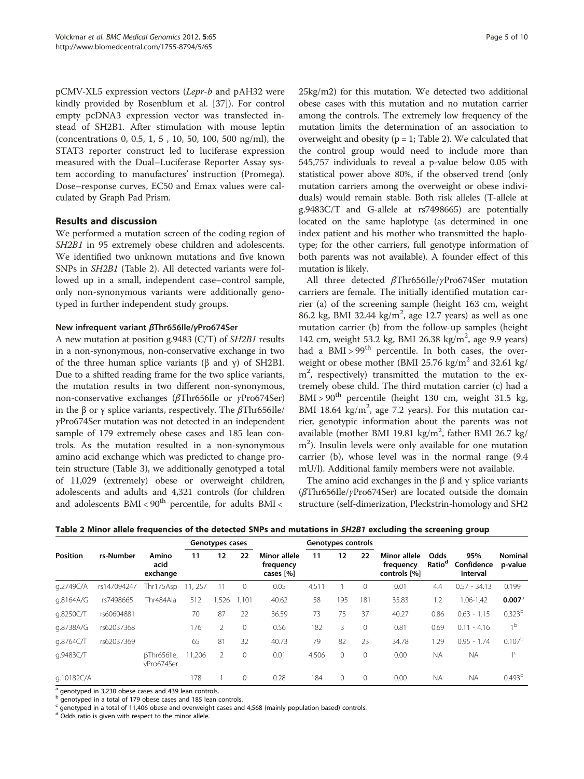<span id="page-4-0"></span>pCMV-XL5 expression vectors (Lepr-b and pAH32 were kindly provided by Rosenblum et al. [[37\]](#page-9-0)). For control empty pcDNA3 expression vector was transfected instead of SH2B1. After stimulation with mouse leptin (concentrations 0, 0.5, 1, 5 , 10, 50, 100, 500 ng/ml), the STAT3 reporter construct led to luciferase expression measured with the Dual–Luciferase Reporter Assay system according to manufactures' instruction (Promega). Dose–response curves, EC50 and Emax values were calculated by Graph Pad Prism.

# Results and discussion

We performed a mutation screen of the coding region of SH2B1 in 95 extremely obese children and adolescents. We identified two unknown mutations and five known SNPs in SH2B1 (Table 2). All detected variants were followed up in a small, independent case–control sample, only non-synonymous variants were additionally genotyped in further independent study groups.

#### New infrequent variant βThr656Ile/γPro674Ser

A new mutation at position g.9483 (C/T) of SH2B1 results in a non-synonymous, non-conservative exchange in two of the three human splice variants (β and γ) of SH2B1. Due to a shifted reading frame for the two splice variants, the mutation results in two different non-synonymous, non-conservative exchanges (βThr656Ile or γPro674Ser) in the β or γ splice variants, respectively. The  $β$ Thr656Ile/ γPro674Ser mutation was not detected in an independent sample of 179 extremely obese cases and 185 lean controls. As the mutation resulted in a non-synonymous amino acid exchange which was predicted to change protein structure (Table [3\)](#page-5-0), we additionally genotyped a total of 11,029 (extremely) obese or overweight children, adolescents and adults and 4,321 controls (for children and adolescents  $BMI < 90<sup>th</sup>$  percentile, for adults  $BMI <$ 

25kg/m2) for this mutation. We detected two additional obese cases with this mutation and no mutation carrier among the controls. The extremely low frequency of the mutation limits the determination of an association to overweight and obesity ( $p = 1$ ; Table 2). We calculated that the control group would need to include more than 545,757 individuals to reveal a p-value below 0.05 with statistical power above 80%, if the observed trend (only mutation carriers among the overweight or obese individuals) would remain stable. Both risk alleles (T-allele at g.9483C/T and G-allele at rs7498665) are potentially located on the same haplotype (as determined in one index patient and his mother who transmitted the haplotype; for the other carriers, full genotype information of both parents was not available). A founder effect of this mutation is likely.

All three detected βThr656Ile/γPro674Ser mutation carriers are female. The initially identified mutation carrier (a) of the screening sample (height 163 cm, weight 86.2 kg, BMI 32.44 kg/m<sup>2</sup>, age 12.7 years) as well as one mutation carrier (b) from the follow-up samples (height 142 cm, weight 53.2 kg, BMI 26.38 kg/m<sup>2</sup>, age 9.9 years) had a  $BMI > 99<sup>th</sup>$  percentile. In both cases, the overweight or obese mother (BMI 25.76 kg/m<sup>2</sup> and 32.61 kg/ m2 , respectively) transmitted the mutation to the extremely obese child. The third mutation carrier (c) had a  $BMI > 90<sup>th</sup>$  percentile (height 130 cm, weight 31.5 kg, BMI 18.64  $\text{kg/m}^2$ , age 7.2 years). For this mutation carrier, genotypic information about the parents was not available (mother BMI 19.81 kg/m<sup>2</sup>, father BMI 26.7 kg/ m2 ). Insulin levels were only available for one mutation carrier (b), whose level was in the normal range (9.4 mU/l). Additional family members were not available.

The amino acid exchanges in the β and γ splice variants (βThr656Ile/γPro674Ser) are located outside the domain structure (self-dimerization, Pleckstrin-homology and SH2

|                 | rs-Number   | Amino<br>acid<br>exchange | Genotypes cases |                |          | Genotypes controls                     |       |              |          |                                           |                            |                               |                           |
|-----------------|-------------|---------------------------|-----------------|----------------|----------|----------------------------------------|-------|--------------|----------|-------------------------------------------|----------------------------|-------------------------------|---------------------------|
| <b>Position</b> |             |                           | 11              | 12             | 22       | Minor allele<br>frequency<br>cases [%] | 11    | 12           | 22       | Minor allele<br>frequency<br>controls [%] | Odds<br>Ratio <sup>d</sup> | 95%<br>Confidence<br>Interval | <b>Nominal</b><br>p-value |
| q.2749C/A       | rs147094247 | Thr175Asp                 | 257             |                | $\circ$  | 0.05                                   | 4,511 |              |          | 0.01                                      | 4.4                        | $0.57 - 34.13$                | 0.199 <sup>c</sup>        |
| g.8164A/G       | rs7498665   | Thr484Ala                 | 512             | ,526           | 1.101    | 40.62                                  | 58    | 195          | 181      | 35.83                                     | 1.2                        | 1.06-1.42                     | $0.007$ <sup>a</sup>      |
| q.8250C/T       | rs60604881  |                           | 70              | 87             | 22       | 36.59                                  | 73    | 75           | 37       | 40.27                                     | 0.86                       | $0.63 - 1.15$                 | $0.323^{b}$               |
| q.8738A/G       | rs62037368  |                           | 176             | 2              | $\Omega$ | 0.56                                   | 182   | 3            |          | 0.81                                      | 0.69                       | $0.11 - 4.16$                 | 1 <sup>b</sup>            |
| q.8764C/T       | rs62037369  |                           | 65              | 81             | 32       | 40.73                                  | 79    | 82           | 23       | 34.78                                     | .29                        | $0.95 - 1.74$                 | $0.107^{b}$               |
| q.9483C/T       |             | BThr656lle.<br>vPro674Ser | 11,206          | $\overline{2}$ | $\Omega$ | 0.01                                   | 4,506 | $\mathbf{0}$ |          | 0.00                                      | <b>NA</b>                  | <b>NA</b>                     | 1 <sup>c</sup>            |
| g.10182C/A      |             |                           | 178             |                | $\Omega$ | 0.28                                   | 184   | $\Omega$     | $\Omega$ | 0.00                                      | <b>NA</b>                  | <b>NA</b>                     | 0.493 <sup>b</sup>        |

Table 2 Minor allele frequencies of the detected SNPs and mutations in SH2B1 excluding the screening group

genotyped in 3,230 obese cases and 439 lean controls.

b genotyped in a total of 179 obese cases and 185 lean controls.

genotyped in a total of 11,406 obese and overweight cases and 4,568 (mainly population based) controls.

Odds ratio is given with respect to the minor allele.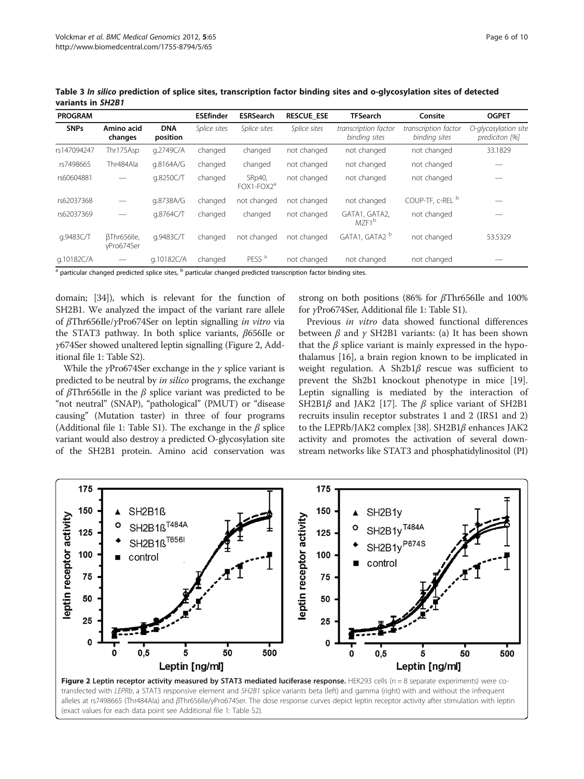| <b>PROGRAM</b> |                           |                        | <b>ESEfinder</b> | <b>ESRSearch</b>                 | <b>RESCUE ESE</b> | <b>TFSearch</b>                       | Consite                               | <b>OGPET</b>                           |
|----------------|---------------------------|------------------------|------------------|----------------------------------|-------------------|---------------------------------------|---------------------------------------|----------------------------------------|
| <b>SNPs</b>    | Amino acid<br>changes     | <b>DNA</b><br>position | Splice sites     | Splice sites                     | Splice sites      | transcription factor<br>binding sites | transcription factor<br>binding sites | O-glycosylation site<br>prediciton [%] |
| rs147094247    | Thr175Asp                 | g.2749C/A              | changed          | changed                          | not changed       | not changed                           | not changed                           | 33.1829                                |
| rs7498665      | Thr484Ala                 | q.8164A/G              | changed          | changed                          | not changed       | not changed                           | not changed                           |                                        |
| rs60604881     |                           | q.8250C/T              | changed          | SRp40,<br>FOX1-FOX2 <sup>a</sup> | not changed       | not changed                           | not changed                           |                                        |
| rs62037368     |                           | g.8738A/G              | changed          | not changed                      | not changed       | not changed                           | COUP-TF, c-REL <sup>b</sup>           |                                        |
| rs62037369     |                           | g.8764C/T              | changed          | changed                          | not changed       | GATA1, GATA2,<br>MZF <sub>1</sub> b   | not changed                           |                                        |
| q.9483C/T      | BThr656lle,<br>yPro674Ser | q.9483C/T              | changed          | not changed                      | not changed       | GATA1, GATA2 <sup>b</sup>             | not changed                           | 53.5329                                |
| g.10182C/A     |                           | g.10182C/A             | changed          | PESS <sup>a</sup>                | not changed       | not changed                           | not changed                           |                                        |

<span id="page-5-0"></span>Table 3 In silico prediction of splice sites, transcription factor binding sites and o-glycosylation sites of detected variants in SH2B1

<sup>a</sup> particular changed predicted splice sites, <sup>b</sup> particular changed predicted transcription factor binding sites.

domain; [[34](#page-9-0)]), which is relevant for the function of SH2B1. We analyzed the impact of the variant rare allele of βThr656Ile/γPro674Ser on leptin signalling in vitro via the STAT3 pathway. In both splice variants, β656Ile or γ674Ser showed unaltered leptin signalling (Figure 2, Additional file [1:](#page-7-0) Table S2).

While the *γ*Pro674Ser exchange in the *γ* splice variant is predicted to be neutral by in silico programs, the exchange of βThr656Ile in the β splice variant was predicted to be "not neutral" (SNAP), "pathological" (PMUT) or "disease causing" (Mutation taster) in three of four programs (Additional file [1](#page-7-0): Table S1). The exchange in the  $\beta$  splice variant would also destroy a predicted O-glycosylation site of the SH2B1 protein. Amino acid conservation was strong on both positions (86% for βThr656Ile and 100% for γPro674Ser, Additional file [1:](#page-7-0) Table S1).

Previous in vitro data showed functional differences between  $\beta$  and  $\gamma$  SH2B1 variants: (a) It has been shown that the  $\beta$  splice variant is mainly expressed in the hypothalamus [\[16](#page-8-0)], a brain region known to be implicated in weight regulation. A Sh2b1β rescue was sufficient to prevent the Sh2b1 knockout phenotype in mice [\[19](#page-8-0)]. Leptin signalling is mediated by the interaction of SH2B1 $\beta$  and JAK2 [\[17\]](#page-8-0). The  $\beta$  splice variant of SH2B1 recruits insulin receptor substrates 1 and 2 (IRS1 and 2) to the LEPRb/JAK2 complex [\[38\]](#page-9-0). SH2B1β enhances JAK2 activity and promotes the activation of several downstream networks like STAT3 and phosphatidylinositol (PI)



(exact values for each data point see Additional file [1:](#page-7-0) Table S2).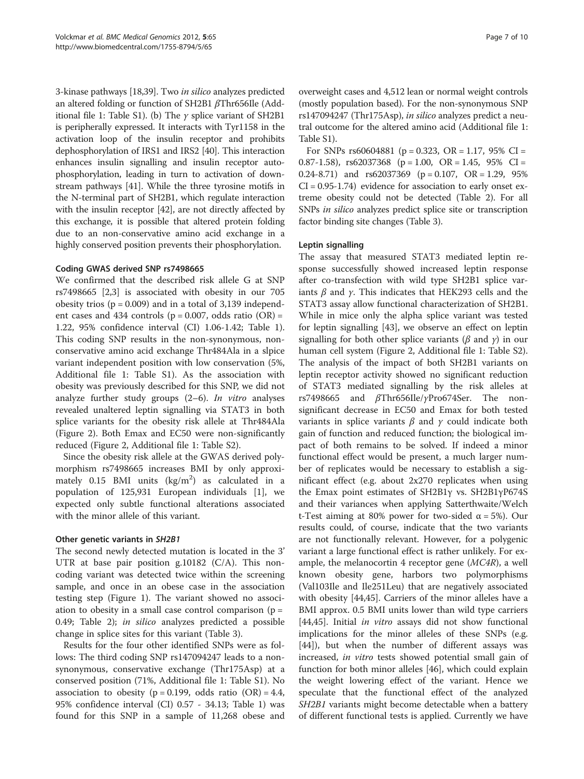3-kinase pathways [\[18,](#page-8-0)[39](#page-9-0)]. Two in silico analyzes predicted an altered folding or function of SH2B1 βThr656Ile (Add-itional file [1](#page-7-0): Table S1). (b) The  $\gamma$  splice variant of SH2B1 is peripherally expressed. It interacts with Tyr1158 in the activation loop of the insulin receptor and prohibits dephosphorylation of IRS1 and IRS2 [\[40\]](#page-9-0). This interaction enhances insulin signalling and insulin receptor autophosphorylation, leading in turn to activation of downstream pathways [\[41\]](#page-9-0). While the three tyrosine motifs in the N-terminal part of SH2B1, which regulate interaction with the insulin receptor [\[42](#page-9-0)], are not directly affected by this exchange, it is possible that altered protein folding due to an non-conservative amino acid exchange in a highly conserved position prevents their phosphorylation.

#### Coding GWAS derived SNP rs7498665

We confirmed that the described risk allele G at SNP rs7498665 [\[2,3](#page-8-0)] is associated with obesity in our 705 obesity trios  $(p = 0.009)$  and in a total of 3,139 independent cases and 434 controls ( $p = 0.007$ , odds ratio (OR) = 1.22, 95% confidence interval (CI) 1.06-1.42; Table [1](#page-2-0)). This coding SNP results in the non-synonymous, nonconservative amino acid exchange Thr484Ala in a slpice variant independent position with low conservation (5%, Additional file [1](#page-7-0): Table S1). As the association with obesity was previously described for this SNP, we did not analyze further study groups  $(2-6)$ . In vitro analyses revealed unaltered leptin signalling via STAT3 in both splice variants for the obesity risk allele at Thr484Ala (Figure [2\)](#page-5-0). Both Emax and EC50 were non-significantly reduced (Figure [2](#page-5-0), Additional file [1](#page-7-0): Table S2).

Since the obesity risk allele at the GWAS derived polymorphism rs7498665 increases BMI by only approximately  $0.15$  BMI units  $\frac{\text{kg}}{m^2}$  as calculated in a population of 125,931 European individuals [[1\]](#page-8-0), we expected only subtle functional alterations associated with the minor allele of this variant.

#### Other genetic variants in SH2B1

The second newly detected mutation is located in the 3' UTR at base pair position g.10182 (C/A). This noncoding variant was detected twice within the screening sample, and once in an obese case in the association testing step (Figure [1](#page-3-0)). The variant showed no association to obesity in a small case control comparison ( $p =$ 0.49; Table [2](#page-4-0)); in silico analyzes predicted a possible change in splice sites for this variant (Table [3](#page-5-0)).

Results for the four other identified SNPs were as follows: The third coding SNP rs147094247 leads to a nonsynonymous, conservative exchange (Thr175Asp) at a conserved position (71%, Additional file [1](#page-7-0): Table S1). No association to obesity ( $p = 0.199$ , odds ratio (OR) = 4.4, 95% confidence interval (CI) 0.57 - 34.13; Table [1](#page-2-0)) was found for this SNP in a sample of 11,268 obese and overweight cases and 4,512 lean or normal weight controls (mostly population based). For the non-synonymous SNP rs147094247 (Thr175Asp), in silico analyzes predict a neutral outcome for the altered amino acid (Additional file [1](#page-7-0): Table S1).

For SNPs  $rs60604881$  ( $p = 0.323$ , OR = 1.17, 95% CI = 0.87-1.58),  $rs62037368$  ( $p = 1.00$ , OR = 1.45, 95% CI = 0.24-8.71) and  $rs62037369$  ( $p = 0.107$ , OR = 1.29, 95%  $CI = 0.95 - 1.74$ ) evidence for association to early onset extreme obesity could not be detected (Table [2](#page-4-0)). For all SNPs in silico analyzes predict splice site or transcription factor binding site changes (Table [3](#page-5-0)).

# Leptin signalling

The assay that measured STAT3 mediated leptin response successfully showed increased leptin response after co-transfection with wild type SH2B1 splice variants  $β$  and  $γ$ . This indicates that HEK293 cells and the STAT3 assay allow functional characterization of SH2B1. While in mice only the alpha splice variant was tested for leptin signalling [[43\]](#page-9-0), we observe an effect on leptin signalling for both other splice variants ( $\beta$  and  $\gamma$ ) in our human cell system (Figure [2](#page-5-0), Additional file [1:](#page-7-0) Table S2). The analysis of the impact of both SH2B1 variants on leptin receptor activity showed no significant reduction of STAT3 mediated signalling by the risk alleles at rs7498665 and βThr656Ile/γPro674Ser. The nonsignificant decrease in EC50 and Emax for both tested variants in splice variants  $\beta$  and  $\gamma$  could indicate both gain of function and reduced function; the biological impact of both remains to be solved. If indeed a minor functional effect would be present, a much larger number of replicates would be necessary to establish a significant effect (e.g. about 2x270 replicates when using the Emax point estimates of SH2B1γ vs. SH2B1γP674S and their variances when applying Satterthwaite/Welch t-Test aiming at 80% power for two-sided  $\alpha = 5\%$ ). Our results could, of course, indicate that the two variants are not functionally relevant. However, for a polygenic variant a large functional effect is rather unlikely. For example, the melanocortin 4 receptor gene  $(MC4R)$ , a well known obesity gene, harbors two polymorphisms (Val103Ile and Ile251Leu) that are negatively associated with obesity [\[44,45\]](#page-9-0). Carriers of the minor alleles have a BMI approx. 0.5 BMI units lower than wild type carriers [[44,45\]](#page-9-0). Initial *in vitro* assays did not show functional implications for the minor alleles of these SNPs (e.g. [[44\]](#page-9-0)), but when the number of different assays was increased, in vitro tests showed potential small gain of function for both minor alleles [[46\]](#page-9-0), which could explain the weight lowering effect of the variant. Hence we speculate that the functional effect of the analyzed SH2B1 variants might become detectable when a battery of different functional tests is applied. Currently we have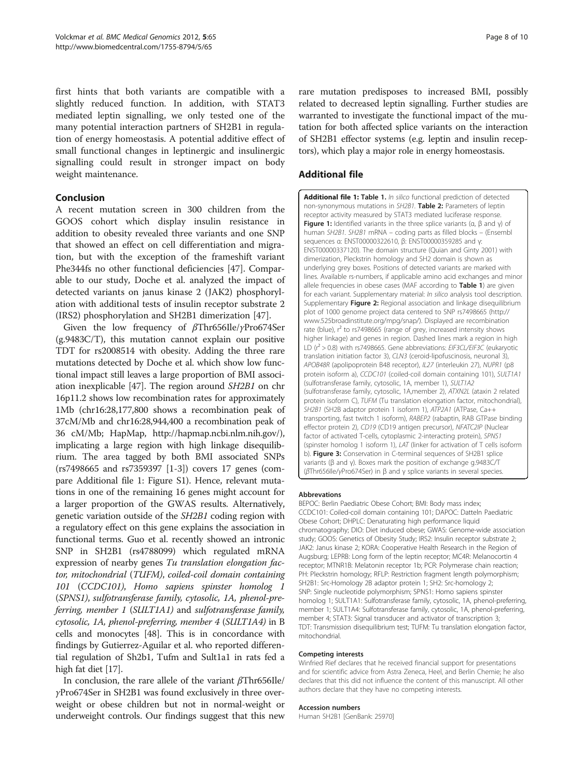<span id="page-7-0"></span>first hints that both variants are compatible with a slightly reduced function. In addition, with STAT3 mediated leptin signalling, we only tested one of the many potential interaction partners of SH2B1 in regulation of energy homeostasis. A potential additive effect of small functional changes in leptinergic and insulinergic signalling could result in stronger impact on body weight maintenance.

# Conclusion

A recent mutation screen in 300 children from the GOOS cohort which display insulin resistance in addition to obesity revealed three variants and one SNP that showed an effect on cell differentiation and migration, but with the exception of the frameshift variant Phe344fs no other functional deficiencies [\[47\]](#page-9-0). Comparable to our study, Doche et al. analyzed the impact of detected variants on janus kinase 2 (JAK2) phosphorylation with additional tests of insulin receptor substrate 2 (IRS2) phosphorylation and SH2B1 dimerization [\[47](#page-9-0)].

Given the low frequency of βThr656Ile/γPro674Ser (g.9483C/T), this mutation cannot explain our positive TDT for rs2008514 with obesity. Adding the three rare mutations detected by Doche et al. which show low functional impact still leaves a large proportion of BMI association inexplicable [\[47\]](#page-9-0). The region around SH2B1 on chr 16p11.2 shows low recombination rates for approximately 1Mb (chr16:28,177,800 shows a recombination peak of 37cM/Mb and chr16:28,944,400 a recombination peak of 36 cM/Mb; HapMap,<http://hapmap.ncbi.nlm.nih.gov/>), implicating a large region with high linkage disequilibrium. The area tagged by both BMI associated SNPs (rs7498665 and rs7359397 [[1-3\]](#page-8-0)) covers 17 genes (compare Additional file 1: Figure S1). Hence, relevant mutations in one of the remaining 16 genes might account for a larger proportion of the GWAS results. Alternatively, genetic variation outside of the SH2B1 coding region with a regulatory effect on this gene explains the association in functional terms. Guo et al. recently showed an intronic SNP in SH2B1 (rs4788099) which regulated mRNA expression of nearby genes Tu translation elongation factor, mitochondrial (TUFM), coiled-coil domain containing 101 (CCDC101), Homo sapiens spinster homolog 1 (SPNS1), sulfotransferase family, cytosolic, 1A, phenol-preferring, member 1 (SULT1A1) and sulfotransferase family, cytosolic, 1A, phenol-preferring, member 4 (SULT1A4) in B cells and monocytes [48]. This is in concordance with findings by Gutierrez-Aguilar et al. who reported differential regulation of Sh2b1, Tufm and Sult1a1 in rats fed a high fat diet [\[17](#page-8-0)].

In conclusion, the rare allele of the variant  $\beta$ Thr656Ile/ γPro674Ser in SH2B1 was found exclusively in three overweight or obese children but not in normal-weight or underweight controls. Our findings suggest that this new rare mutation predisposes to increased BMI, possibly related to decreased leptin signalling. Further studies are warranted to investigate the functional impact of the mutation for both affected splice variants on the interaction of SH2B1 effector systems (e.g. leptin and insulin receptors), which play a major role in energy homeostasis.

# Additional file

[Additional file 1:](http://www.biomedcentral.com/content/supplementary/1755-8794-5-65-S1.docx) Table 1. In silico functional prediction of detected non-synonymous mutations in SH2B1. Table 2: Parameters of leptin receptor activity measured by STAT3 mediated luciferase response. Figure 1: Identified variants in the three splice variants (α, β and ν) of human SH2B1. SH2B1 mRNA – coding parts as filled blocks – (Ensembl sequences α: ENST00000322610, β: ENST00000359285 and γ: ENST00000337120). The domain structure (Quian and Ginty 2001) with dimerization, Pleckstrin homology and SH2 domain is shown as underlying grey boxes. Positions of detected variants are marked with lines. Available rs-numbers, if applicable amino acid exchanges and minor allele frequencies in obese cases (MAF according to Table 1) are given for each variant. Supplementary material: In silico analysis tool description. Supplementary Figure 2: Regional association and linkage disequilibrium plot of 1000 genome project data centered to SNP rs7498665 ([http://](http://www.525broadinstitute.org/mpg/snap/) [www.525broadinstitute.org/mpg/snap/\)](http://www.525broadinstitute.org/mpg/snap/). Displayed are recombination rate (blue),  $r^2$  to rs7498665 (range of grey, increased intensity shows higher linkage) and genes in region. Dashed lines mark a region in high LD ( $r^2 > 0.8$ ) with rs7498665. Gene abbreviations: EIF3CL/EIF3C (eukaryotic translation initiation factor 3), CLN3 (ceroid-lipofuscinosis, neuronal 3), APOB48R (apolipoprotein B48 receptor), IL27 (interleukin 27), NUPR1 (p8 protein isoform a), CCDC101 (coiled-coil domain containing 101), SULT1A1 (sulfotransferase family, cytosolic, 1A, member 1), SULT1A2 (sulfotransferase family, cytosolic, 1A,member 2), ATXN2L (ataxin 2 related protein isoform C), TUFM (Tu translation elongation factor, mitochondrial), SH2B1 (SH2B adaptor protein 1 isoform 1), ATP2A1 (ATPase, Ca++ transporting, fast twitch 1 isoform), RABEP2 (rabaptin, RAB GTPase binding effector protein 2), CD19 (CD19 antigen precursor), NFATC2IP (Nuclear factor of activated T-cells, cytoplasmic 2-interacting protein), SPNS1 (spinster homolog 1 isoform 1), LAT (linker for activation of T cells isoform b). Figure 3: Conservation in C-terminal sequences of SH2B1 splice variants (β and γ). Boxes mark the position of exchange g.9483C/T (βThr656Ile/γPro674Ser) in β and γ splice variants in several species.

#### Abbrevations

BEPOC: Berlin Paediatric Obese Cohort; BMI: Body mass index; CCDC101: Coiled-coil domain containing 101; DAPOC: Datteln Paediatric Obese Cohort; DHPLC: Denaturating high performance liquid chromatography; DIO: Diet induced obese; GWAS: Genome-wide association study; GOOS: Genetics of Obesity Study; IRS2: Insulin receptor substrate 2; JAK2: Janus kinase 2; KORA: Cooperative Health Research in the Region of Augsburg; LEPRB: Long form of the leptin receptor; MC4R: Melanocortin 4 receptor; MTNR1B: Melatonin receptor 1b; PCR: Polymerase chain reaction; PH: Pleckstrin homology; RFLP: Restriction fragment length polymorphism; SH2B1: Src-Homology 2B adaptor protein 1; SH2: Src-homology 2; SNP: Single nucleotide polymorphism; SPNS1: Homo sapiens spinster homolog 1; SULT1A1: Sulfotransferase family, cytosolic, 1A, phenol-preferring, member 1; SULT1A4: Sulfotransferase family, cytosolic, 1A, phenol-preferring, member 4; STAT3: Signal transducer and activator of transcription 3; TDT: Transmission disequilibrium test; TUFM: Tu translation elongation factor, mitochondrial.

#### Competing interests

Winfried Rief declares that he received financial support for presentations and for scientific advice from Astra Zeneca, Heel, and Berlin Chemie; he also declares that this did not influence the content of this manuscript. All other authors declare that they have no competing interests.

#### Accession numbers

Human SH2B1 [GenBank: 25970]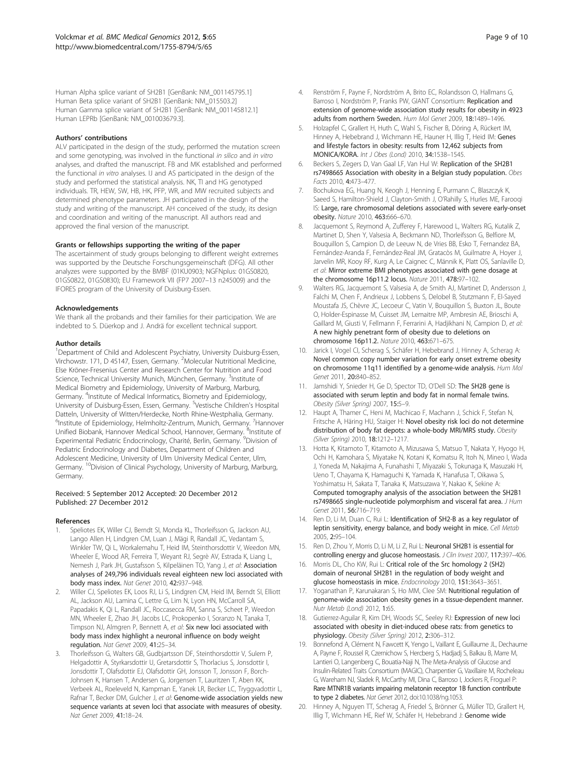<span id="page-8-0"></span>Human Alpha splice variant of SH2B1 [GenBank: NM\_001145795.1] Human Beta splice variant of SH2B1 [GenBank: NM\_015503.2] Human Gamma splice variant of SH2B1 [GenBank: NM\_001145812.1] Human LEPRb [GenBank: NM\_001003679.3].

#### Authors' contributions

ALV participated in the design of the study, performed the mutation screen and some genotyping, was involved in the functional in silico and in vitro analyses, and drafted the manuscript. FB and MK established and performed the functional in vitro analyses. IJ and AS participated in the design of the study and performed the statistical analysis. NK, TI and HG genotyped individuals. TR, HEW, SW, HB, HK, PFP, WR, and MW recruited subjects and determined phenotype parameters. JH participated in the design of the study and writing of the manuscript. AH conceived of the study, its design and coordination and writing of the manuscript. All authors read and approved the final version of the manuscript.

#### Grants or fellowships supporting the writing of the paper

The ascertainment of study groups belonging to different weight extremes was supported by the Deutsche Forschungsgemeinschaft (DFG). All other analyzes were supported by the BMBF (01KU0903; NGFNplus: 01GS0820, 01GS0822, 01GS0830); EU Framework VII (FP7 2007–13 n245009) and the IFORES program of the University of Duisburg-Essen.

#### Acknowledgements

We thank all the probands and their families for their participation. We are indebted to S. Düerkop and J. Andrä for excellent technical support.

#### Author details

<sup>1</sup>Department of Child and Adolescent Psychiatry, University Duisburg-Essen, Virchowstr. 171, D 45147, Essen, Germany. <sup>2</sup>Molecular Nutritional Medicine, Else Kröner-Fresenius Center and Research Center for Nutrition and Food Science, Technical University Munich, München, Germany. <sup>3</sup>Institute of Medical Biometry and Epidemiology, University of Marburg, Marburg, Germany. <sup>4</sup>Institute of Medical Informatics, Biometry and Epidemiology, University of Duisburg-Essen, Essen, Germany. <sup>5</sup>Vestische Children's Hospital Datteln, University of Witten/Herdecke, North Rhine-Westphalia, Germany. <sup>6</sup>Institute of Epidemiology, Helmholtz-Zentrum, Munich, Germany. <sup>7</sup>Hannover Unified Biobank, Hannover Medical School, Hannover, Germany. <sup>8</sup>Institute of Experimental Pediatric Endocrinology, Charité, Berlin, Germany. <sup>9</sup>Division of Pediatric Endocrinology and Diabetes, Department of Children and Adolescent Medicine, University of Ulm University Medical Center, Ulm, Germany. <sup>10</sup>Division of Clinical Psychology, University of Marburg, Marburg, Germany.

#### Received: 5 September 2012 Accepted: 20 December 2012 Published: 27 December 2012

#### References

- 1. Speliotes EK, Willer CJ, Berndt SI, Monda KL, Thorleifsson G, Jackson AU, Lango Allen H, Lindgren CM, Luan J, Mägi R, Randall JC, Vedantam S, Winkler TW, Qi L, Workalemahu T, Heid IM, Steinthorsdottir V, Weedon MN, Wheeler E, Wood AR, Ferreira T, Weyant RJ, Segrè AV, Estrada K, Liang L, Nemesh J, Park JH, Gustafsson S, Kilpeläinen TO, Yang J, et al: Association analyses of 249,796 individuals reveal eighteen new loci associated with body mass index. Nat Genet 2010, 42:937–948.
- 2. Willer CJ, Speliotes EK, Loos RJ, Li S, Lindgren CM, Heid IM, Berndt SI, Elliott AL, Jackson AU, Lamina C, Lettre G, Lim N, Lyon HN, McCarroll SA, Papadakis K, Qi L, Randall JC, Roccasecca RM, Sanna S, Scheet P, Weedon MN, Wheeler E, Zhao JH, Jacobs LC, Prokopenko I, Soranzo N, Tanaka T, Timpson NJ, Almgren P, Bennett A, et al: Six new loci associated with body mass index highlight a neuronal influence on body weight regulation. Nat Genet 2009, 41:25–34.
- 3. Thorleifsson G, Walters GB, Gudbjartsson DF, Steinthorsdottir V, Sulem P, Helgadottir A, Styrkarsdottir U, Gretarsdottir S, Thorlacius S, Jonsdottir I, Jonsdottir T, Olafsdottir EJ, Olafsdottir GH, Jonsson T, Jonsson F, Borch-Johnsen K, Hansen T, Andersen G, Jorgensen T, Lauritzen T, Aben KK, Verbeek AL, Roeleveld N, Kampman E, Yanek LR, Becker LC, Tryggvadottir L, Rafnar T, Becker DM, Gulcher J, et al: Genome-wide association yields new sequence variants at seven loci that associate with measures of obesity. Nat Genet 2009, 41:18–24.
- 5. Holzapfel C, Grallert H, Huth C, Wahl S, Fischer B, Döring A, Rückert IM, Hinney A, Hebebrand J, Wichmann HE, Hauner H, Illig T, Heid IM: Genes and lifestyle factors in obesity: results from 12,462 subjects from MONICA/KORA. Int J Obes (Lond) 2010, 34:1538–1545.
- 6. Beckers S, Zegers D, Van Gaal LF, Van Hul W: Replication of the SH2B1 rs7498665 Association with obesity in a Belgian study population. Obes Facts 2010, 4:473–477.
- 7. Bochukova EG, Huang N, Keogh J, Henning E, Purmann C, Blaszczyk K, Saeed S, Hamilton-Shield J, Clayton-Smith J, O'Rahilly S, Hurles ME, Farooqi IS: Large, rare chromosomal deletions associated with severe early-onset obesity. Nature 2010, 463:666–670.
- 8. Jacquemont S, Reymond A, Zufferey F, Harewood L, Walters RG, Kutalik Z, Martinet D, Shen Y, Valsesia A, Beckmann ND, Thorleifsson G, Belfiore M, Bouquillon S, Campion D, de Leeuw N, de Vries BB, Esko T, Fernandez BA, Fernández-Aranda F, Fernández-Real JM, Gratacòs M, Guilmatre A, Hoyer J, Jarvelin MR, Kooy RF, Kurg A, Le Caignec C, Männik K, Platt OS, Sanlaville D, et al: Mirror extreme BMI phenotypes associated with gene dosage at the chromosome 16p11.2 locus. Nature 2011, 478:97–102.
- Walters RG, Jacquemont S, Valsesia A, de Smith AJ, Martinet D, Andersson J, Falchi M, Chen F, Andrieux J, Lobbens S, Delobel B, Stutzmann F, El-Sayed Moustafa JS, Chèvre JC, Lecoeur C, Vatin V, Bouquillon S, Buxton JL, Boute O, Holder-Espinasse M, Cuisset JM, Lemaitre MP, Ambresin AE, Brioschi A, Gaillard M, Giusti V, Fellmann F, Ferrarini A, Hadjikhani N, Campion D, et al: A new highly penetrant form of obesity due to deletions on chromosome 16p11.2. Nature 2010, 463:671–675.
- 10. Jarick I, Vogel CI, Scherag S, Schäfer H, Hebebrand J, Hinney A, Scherag A: Novel common copy number variation for early onset extreme obesity on chromosome 11q11 identified by a genome-wide analysis. Hum Mol Genet 2011, 20:840–852.
- 11. Jamshidi Y, Snieder H, Ge D, Spector TD, O'Dell SD: The SH2B gene is associated with serum leptin and body fat in normal female twins. Obesity (Silver Spring) 2007, 15:5–9.
- 12. Haupt A, Thamer C, Heni M, Machicao F, Machann J, Schick F, Stefan N, Fritsche A, Häring HU, Staiger H: Novel obesity risk loci do not determine distribution of body fat depots: a whole-body MRI/MRS study. Obesity (Silver Spring) 2010, 18:1212–1217.
- 13. Hotta K, Kitamoto T, Kitamoto A, Mizusawa S, Matsuo T, Nakata Y, Hyogo H, Ochi H, Kamohara S, Miyatake N, Kotani K, Komatsu R, Itoh N, Mineo I, Wada J, Yoneda M, Nakajima A, Funahashi T, Miyazaki S, Tokunaga K, Masuzaki H, Ueno T, Chayama K, Hamaguchi K, Yamada K, Hanafusa T, Oikawa S, Yoshimatsu H, Sakata T, Tanaka K, Matsuzawa Y, Nakao K, Sekine A: Computed tomography analysis of the association between the SH2B1 rs7498665 single-nucleotide polymorphism and visceral fat area. J Hum Genet 2011, 56:716–719.
- 14. Ren D, Li M, Duan C, Rui L: Identification of SH2-B as a key regulator of leptin sensitivity, energy balance, and body weight in mice. Cell Metab 2005, 2:95–104.
- 15. Ren D, Zhou Y, Morris D, Li M, Li Z, Rui L: Neuronal SH2B1 is essential for controlling energy and glucose homeostasis. J Clin Invest 2007, 117:397-406.
- 16. Morris DL, Cho KW, Rui L: Critical role of the Src homology 2 (SH2) domain of neuronal SH2B1 in the regulation of body weight and glucose homeostasis in mice. Endocrinology 2010, 151:3643–3651.
- 17. Yoganathan P, Karunakaran S, Ho MM, Clee SM: Nutritional regulation of genome-wide association obesity genes in a tissue-dependent manner. Nutr Metab (Lond) 2012, 1:65.
- 18. Gutierrez-Aguilar R, Kim DH, Woods SC, Seeley RJ: Expression of new loci associated with obesity in diet-induced obese rats: from genetics to physiology. Obesity (Silver Spring) 2012, 2:306–312.
- 19. Bonnefond A, Clément N, Fawcett K, Yengo L, Vaillant E, Guillaume JL, Dechaume A, Payne F, Roussel R, Czernichow S, Hercberg S, Hadjadj S, Balkau B, Marre M, Lantieri O, Langenberg C, Bouatia-Naji N, The Meta-Analysis of Glucose and Insulin-Related Traits Consortium (MAGIC), Charpentier G, Vaxillaire M, Rocheleau G, Wareham NJ, Sladek R, McCarthy MI, Dina C, Barroso I, Jockers R, Froguel P: Rare MTNR1B variants impairing melatonin receptor 1B function contribute to type 2 diabetes. Nat Genet 2012, doi:[10.1038/ng.1053](http://dx.doi.org/doi: 10.1038/ng.1053).
- 20. Hinney A, Nguyen TT, Scherag A, Friedel S, Brönner G, Müller TD, Grallert H, Illig T, Wichmann HE, Rief W, Schäfer H, Hebebrand J: Genome wide